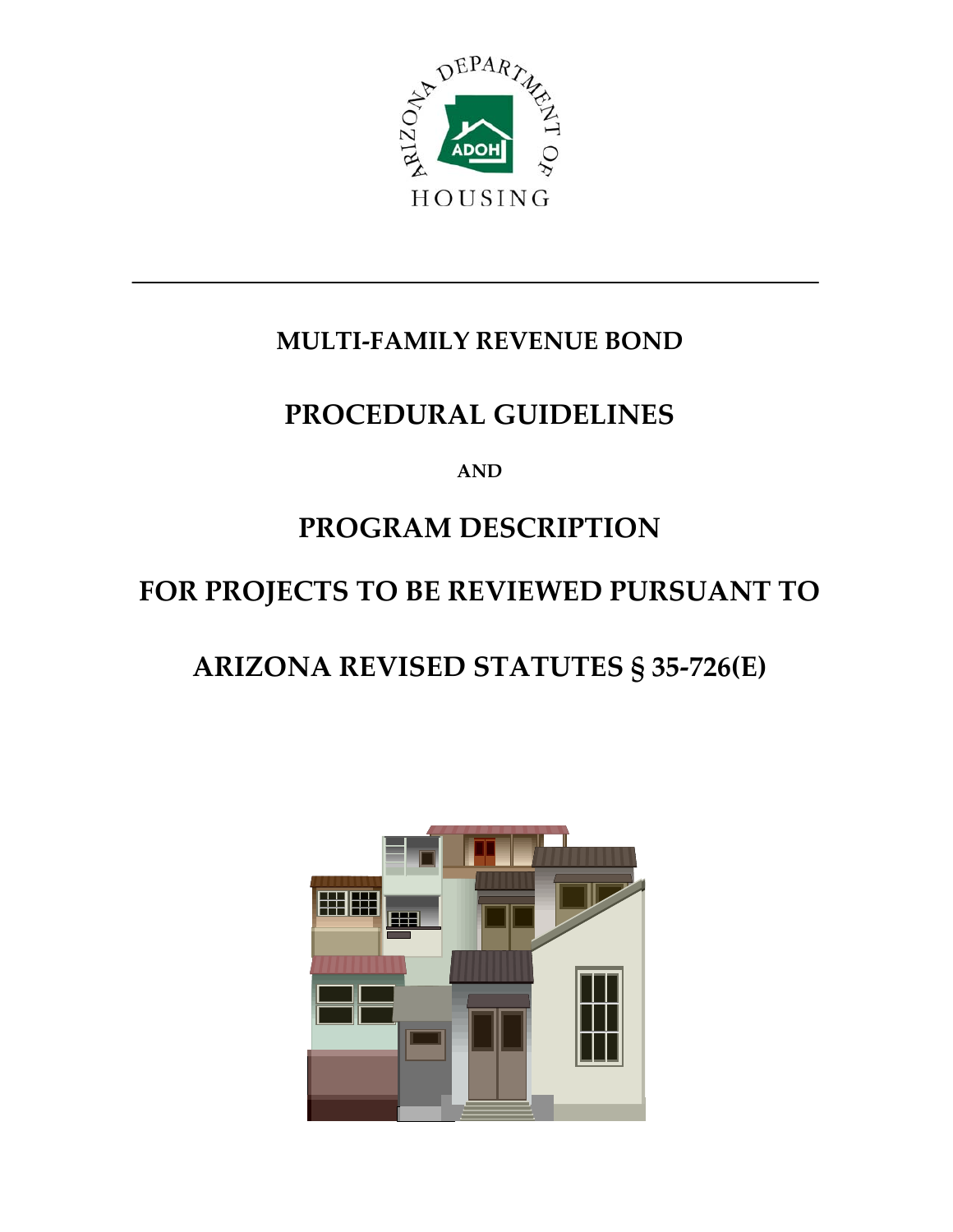

## **MULTI‐FAMILY BOND REVENUE**

## **PROCEDURAL GUIDELINES**

**AND**

# **PROGRAM DESCRIPTION**

## **FOR PROJECTS TO BE REVIEWED PURSUANT TO**

# **ARIZONA REVISED STATUTES § 35‐726(E)**

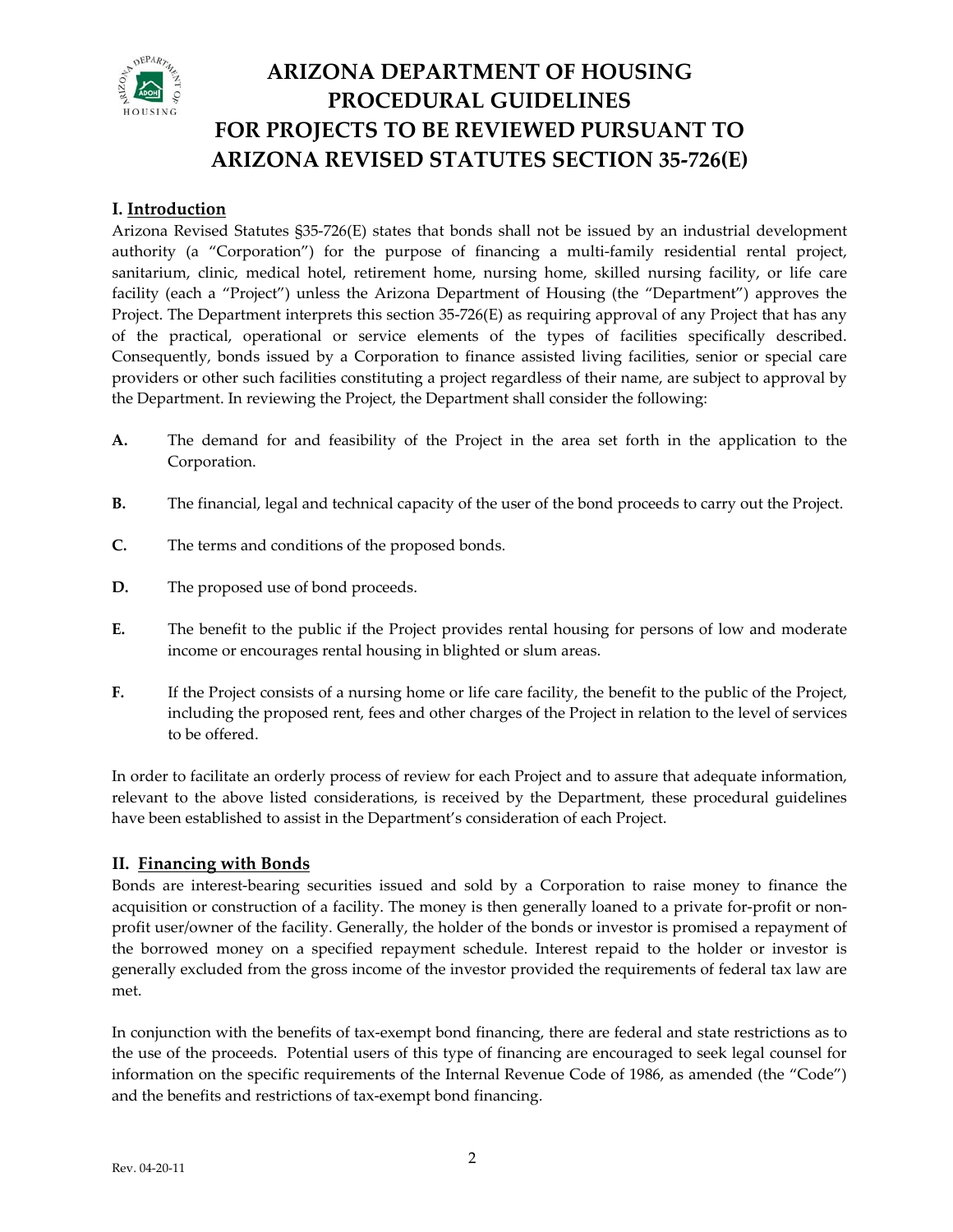

#### **I. Introduction**

Arizona Revised Statutes §35-726(E) states that bonds shall not be issued by an industrial development authority (a "Corporation") for the purpose of financing a multi-family residential rental project, sanitarium, clinic, medical hotel, retirement home, nursing home, skilled nursing facility, or life care facility (each a "Project") unless the Arizona Department of Housing (the "Department") approves the Project. The Department interprets this section 35-726(E) as requiring approval of any Project that has any of the practical, operational or service elements of the types of facilities specifically described. Consequently, bonds issued by a Corporation to finance assisted living facilities, senior or special care providers or other such facilities constituting a project regardless of their name, are subject to approval by the Department. In reviewing the Project, the Department shall consider the following:

- **A.** The demand for and feasibility of the Project in the area set forth in the application to the Corporation.
- **B.** The financial, legal and technical capacity of the user of the bond proceeds to carry out the Project.
- **C.** The terms and conditions of the proposed bonds.
- **D.** The proposed use of bond proceeds.
- **E.** The benefit to the public if the Project provides rental housing for persons of low and moderate income or encourages rental housing in blighted or slum areas.
- **F.** If the Project consists of a nursing home or life care facility, the benefit to the public of the Project, including the proposed rent, fees and other charges of the Project in relation to the level of services to be offered.

In order to facilitate an orderly process of review for each Project and to assure that adequate information, relevant to the above listed considerations, is received by the Department, these procedural guidelines have been established to assist in the Department's consideration of each Project.

#### **II. Financing with Bonds**

Bonds are interest-bearing securities issued and sold by a Corporation to raise money to finance the acquisition or construction of a facility. The money is then generally loaned to a private for-profit or nonprofit user/owner of the facility. Generally, the holder of the bonds or investor is promised a repayment of the borrowed money on a specified repayment schedule. Interest repaid to the holder or investor is generally excluded from the gross income of the investor provided the requirements of federal tax law are met.

In conjunction with the benefits of tax-exempt bond financing, there are federal and state restrictions as to the use of the proceeds. Potential users of this type of financing are encouraged to seek legal counsel for information on the specific requirements of the Internal Revenue Code of 1986, as amended (the "Code") and the benefits and restrictions of tax‐exempt bond financing.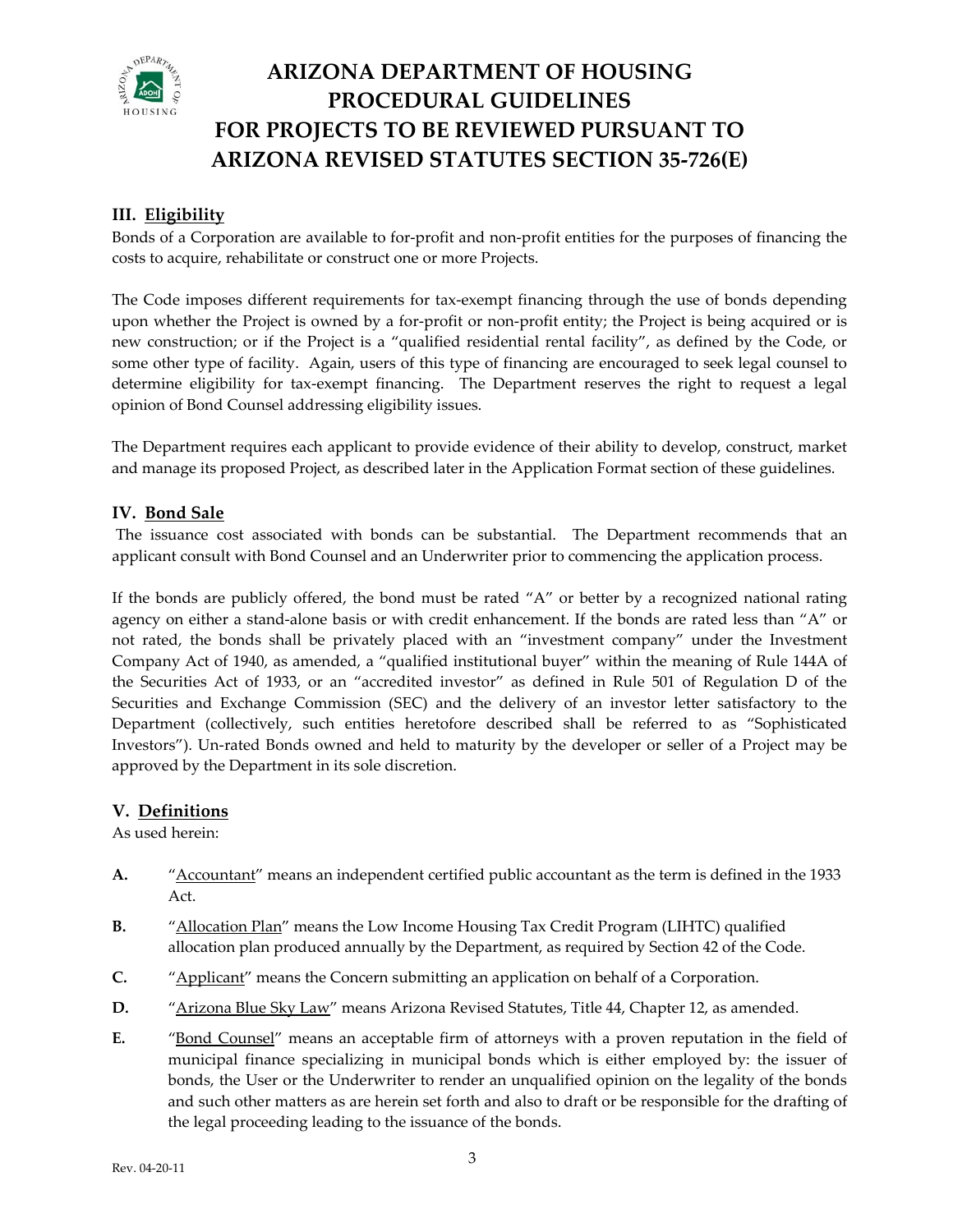

#### **III. Eligibility**

Bonds of a Corporation are available to for‐profit and non‐profit entities for the purposes of financing the costs to acquire, rehabilitate or construct one or more Projects.

The Code imposes different requirements for tax-exempt financing through the use of bonds depending upon whether the Project is owned by a for-profit or non-profit entity; the Project is being acquired or is new construction; or if the Project is a "qualified residential rental facility", as defined by the Code, or some other type of facility. Again, users of this type of financing are encouraged to seek legal counsel to determine eligibility for tax‐exempt financing. The Department reserves the right to request a legal opinion of Bond Counsel addressing eligibility issues.

The Department requires each applicant to provide evidence of their ability to develop, construct, market and manage its proposed Project, as described later in the Application Format section of these guidelines.

#### **V. Bond Sale I**

The issuance cost associated with bonds can be substantial. The Department recommends that an applicant consult with Bond Counsel and an Underwriter prior to commencing the application process.

If the bonds are publicly offered, the bond must be rated "A" or better by a recognized national rating agency on either a stand-alone basis or with credit enhancement. If the bonds are rated less than "A" or not rated, the bonds shall be privately placed with an "investment company" under the Investment Company Act of 1940, as amended, a "qualified institutional buyer" within the meaning of Rule 144A of the Securities Act of 1933, or an "accredited investor" as defined in Rule 501 of Regulation D of the Securities and Exchange Commission (SEC) and the delivery of an investor letter satisfactory to the Department (collectively, such entities heretofore described shall be referred to as "Sophisticated Investors"). Un-rated Bonds owned and held to maturity by the developer or seller of a Project may be approved by the Department in its sole discretion.

#### **. Definitions V**

As used herein:

- **A.** "<del>Accountant</del>" means an independent certified public accountant as the term is defined in the 1933 Act.
- **B.** The <u>"Allocation Plan</u>" means the Low Income Housing Tax Credit Program (LIHTC) qualified allocation plan produced annually by the Department, as required by Section 42 of the Code.
- **C.** "Applicant" means the Concern submitting an application on behalf of a Corporation.
- **D.** "Arizona Blue Sky Law" means Arizona Revised Statutes, Title 44, Chapter 12, as amended.
- **E.**  "Bond Counsel" means an acceptable firm of attorneys with a proven reputation in the field of the legal proceeding leading to the issuance of the bonds. municipal finance specializing in municipal bonds which is either employed by: the issuer of bonds, the User or the Underwriter to render an unqualified opinion on the legality of the bonds and such other matters as are herein set forth and also to draft or be responsible for the drafting of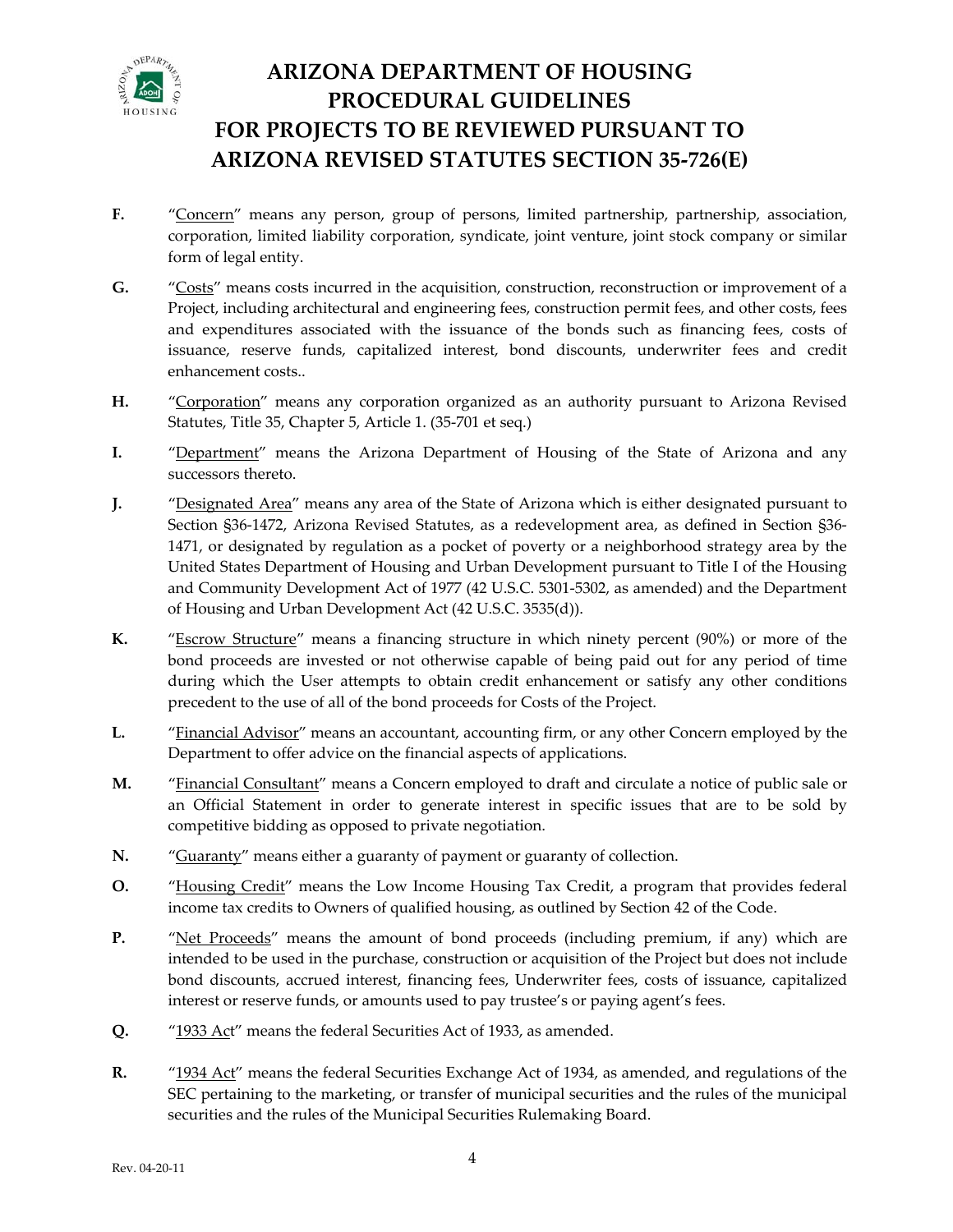

- **F.** "Concern" means any person, group of persons, limited partnership, partnership, association, corporation, limited liability corporation, syndicate, joint venture, joint stock company or similar form of legal entity.
- **G.** "Costs" means costs incurred in the acquisition, construction, reconstruction or improvement of a Project, including architectural and engineering fees, construction permit fees, and other costs, fees and expenditures associated with the issuance of the bonds such as financing fees, costs of issuance, reserve funds, capitalized interest, bond discounts, underwriter fees and credit enhancement costs..
- **H.** "Corporation" means any corporation organized as an authority pursuant to Arizona Revised Statutes, Title 35, Chapter 5, Article 1. (35‐701 et seq.)
- **I.** "Department" means the Arizona Department of Housing of the State of Arizona and any successors thereto.
- **J.** "Designated Area" means any area of the State of Arizona which is either designated pursuant to Section §36‐1472, Arizona Revised Statutes, as a redevelopment area, as defined in Section §36‐ 1471, or designated by regulation as a pocket of poverty or a neighborhood strategy area by the United States Department of Housing and Urban Development pursuant to Title I of the Housing and Community Development Act of 1977 (42 U.S.C. 5301‐5302, as amended) and the Department of Housing and Urban Development Act (42 U.S.C. 3535(d)).
- **K.** "Escrow Structure" means a financing structure in which ninety percent (90%) or more of the bond proceeds are invested or not otherwise capable of being paid out for any period of time during which the User attempts to obtain credit enhancement or satisfy any other conditions precedent to the use of all of the bond proceeds for Costs of the Project.
- **L.** "Financial Advisor" means an accountant, accounting firm, or any other Concern employed by the Department to offer advice on the financial aspects of applications.
- **M.** "Financial Consultant" means a Concern employed to draft and circulate a notice of public sale or an Official Statement in order to generate interest in specific issues that are to be sold by competitive bidding as opposed to private negotiation.
- **N.** "Guaranty" means either a guaranty of payment or guaranty of collection.
- **O.** "Housing Credit" means the Low Income Housing Tax Credit, a program that provides federal income tax credits to Owners of qualified housing, as outlined by Section 42 of the Code.
- **P.** "Net Proceeds" means the amount of bond proceeds (including premium, if any) which are intended to be used in the purchase, construction or acquisition of the Project but does not include bond discounts, accrued interest, financing fees, Underwriter fees, costs of issuance, capitalized interest or reserve funds, or amounts used to pay trustee's or paying agent's fees.
- **Q.** "1933 Act" means the federal Securities Act of 1933, as amended.
- **R.**  "1934 Act" means the federal Securities Exchange Act of 1934, as amended, and regulations of the SEC pertaining to the marketing, or transfer of municipal securities and the rules of the municipal securities and the rules of the Municipal Securities Rulemaking Board.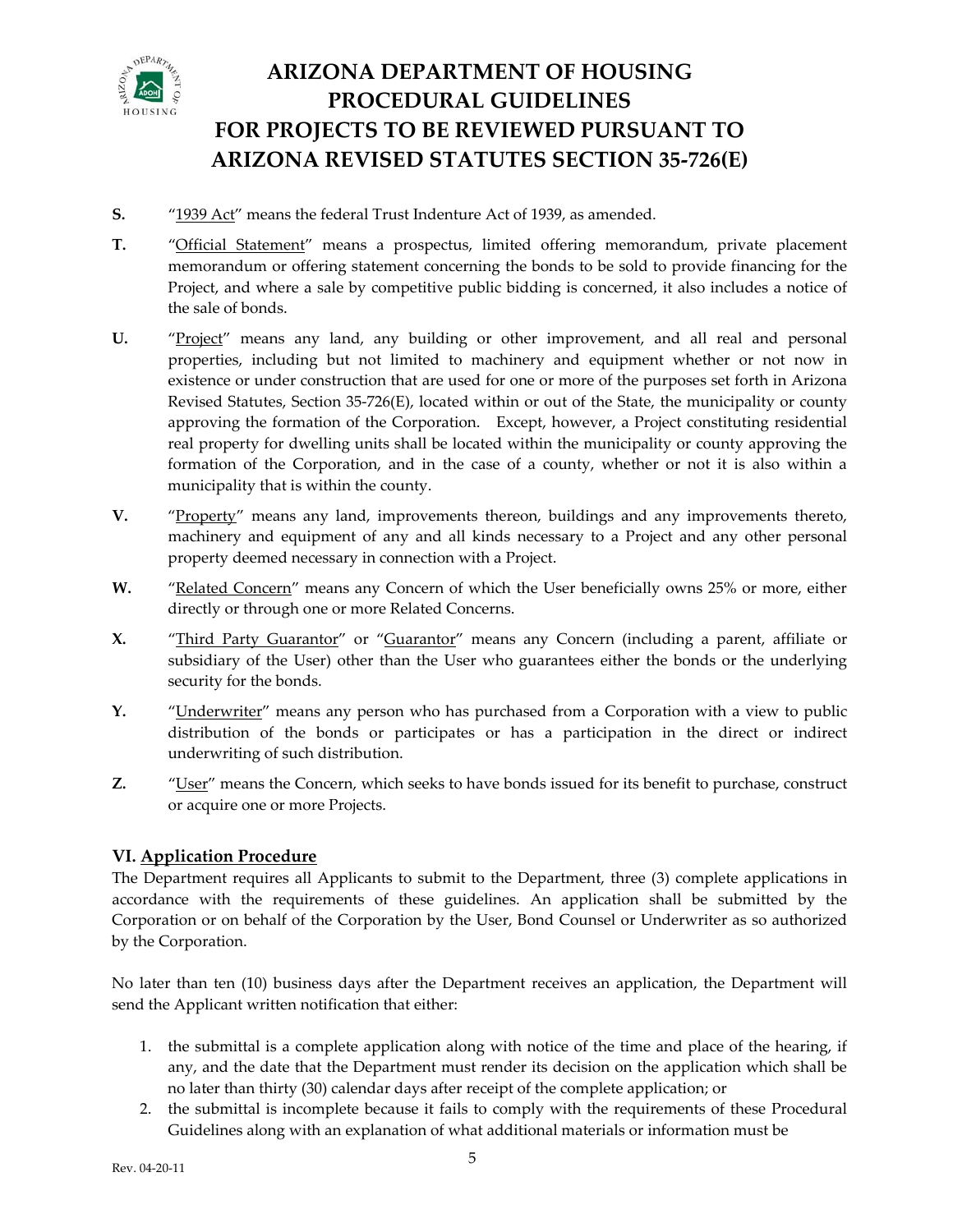

- **S.** "1939 Act" means the federal Trust Indenture Act of 1939, as amended.
- **T.** "Official Statement" means a prospectus, limited offering memorandum, private placement memorandum or offering statement concerning the bonds to be sold to provide financing for the Project, and where a sale by competitive public bidding is concerned, it also includes a notice of the sale of bonds.
- **U.**  "Project" means any land, any building or other improvement, and all real and personal properties, including but not limited to machinery and equipment whether or not now in existence or under construction that are used for one or more of the purposes set forth in Arizona Revised Statutes, Section 35‐726(E), located within or out of the State, the municipality or county approving the formation of the Corporation. Except, however, a Project constituting residential real property for dwelling units shall be located within the municipality or county approving the formation of the Corporation, and in the case of a county, whether or not it is also within a municipality that is within the county.
- **V.** "Property" means any land, improvements thereon, buildings and any improvements thereto, machinery and equipment of any and all kinds necessary to a Project and any other personal property deemed necessary in connection with a Project.
- W. "Related Concern" means any Concern of which the User beneficially owns 25% or more, either directly or through one or more Related Concerns.
- **X.** "Third Party Guarantor" or "Guarantor" means any Concern (including a parent, affiliate or subsidiary of the User) other than the User who guarantees either the bonds or the underlying security for the bonds.
- **Y.** "Underwriter" means any person who has purchased from a Corporation with a view to public distribution of the bonds or participates or has a participation in the direct or indirect underwriting of such distribution.
- **Z.** "User" means the Concern, which seeks to have bonds issued for its benefit to purchase, construct or acquire one or more Projects.

#### **VI. Application Procedure**

The Department requires all Applicants to submit to the Department, three (3) complete applications in accordance with the requirements of these guidelines. An application shall be submitted by the Corporation or on behalf of the Corporation by the User, Bond Counsel or Underwriter as so authorized by the Corporation.

No later than ten (10) business days after the Department receives an application, the Department will send the Applicant written notification that either:

- no later than thirty (30) calendar days after receipt of the complete application; or 1. the submittal is a complete application along with notice of the time and place of the hearing, if any, and the date that the Department must render its decision on the application which shall be
- 2. the submittal is incomplete because it fails to comply with the requirements of these Procedural Guidelines along with an explanation of what additional materials or information must be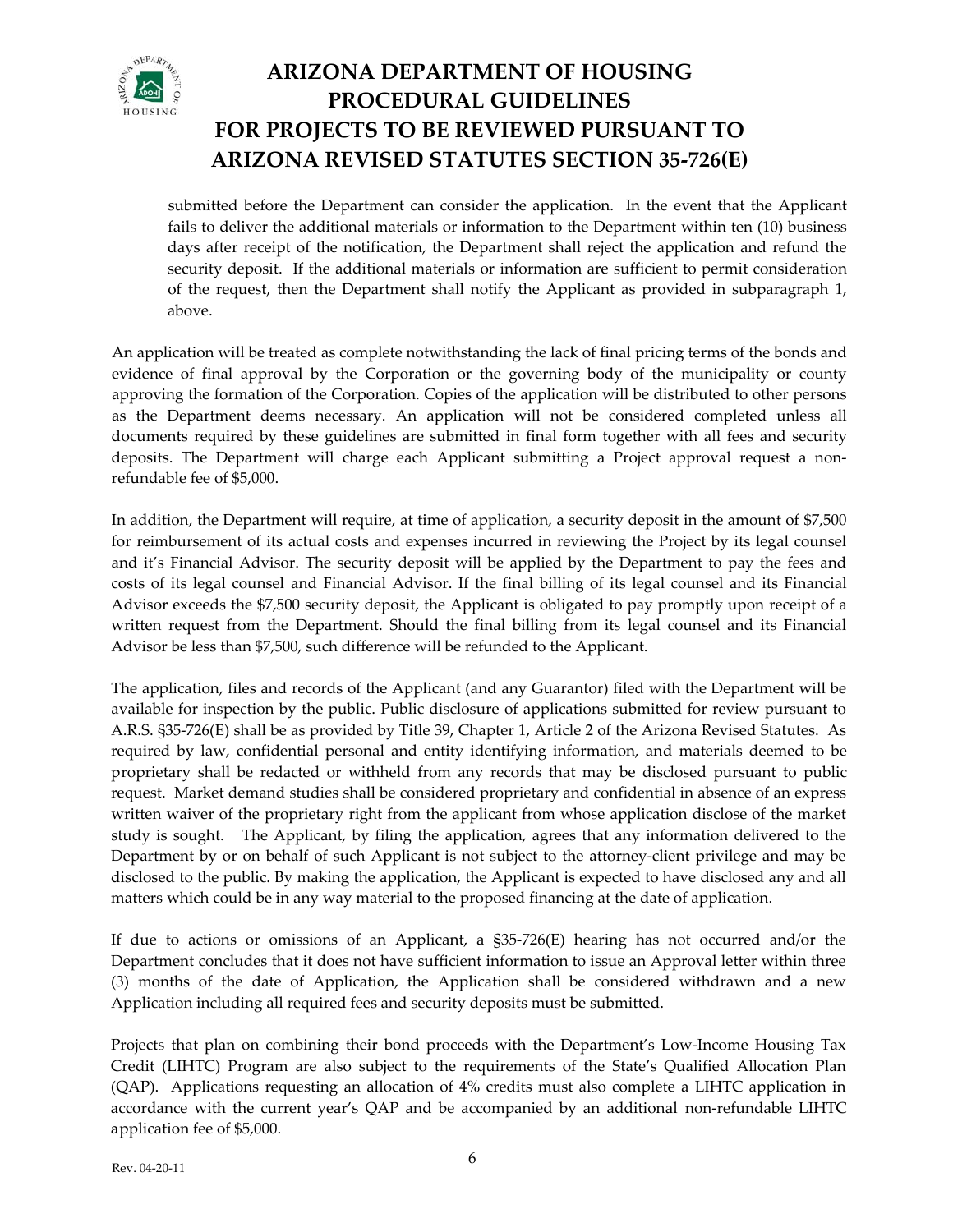

submitted before the Department can consider the application. In the event that the Applicant fails to deliver the additional materials or information to the Department within ten (10) business security deposit. If the additional materials or information are sufficient to permit consideration of the request, then the Department shall notify the Applicant as provided in subparagraph 1, days after receipt of the notification, the Department shall reject the application and refund the above.

An app lication will be treated as complete notwithstanding the lack of final pricing terms of the bonds and evidenc e of final approval by the Corporation or the governing body of the municipality or county approv ing the formation of the Corporation. Copies of the application will be distributed to other persons as the Department deems necessary. An application will not be considered completed unless all documents required by these guidelines are submitted in final form together with all fees and security deposits. The Department will charge each Applicant submitting a Project approval request a non‐ refundable fee of \$5,000.

costs of its legal counsel and Financial Advisor. If the final billing of its legal counsel and its Financial Advisor exceeds the \$7,500 security deposit, the Applicant is obligated to pay promptly upon receipt of a In addition, the Department will require, at time of application, a security deposit in the amount of \$7,500 for reimbursement of its actual costs and expenses incurred in reviewing the Project by its legal counsel and it's Financial Advisor. The security deposit will be applied by the Department to pay the fees and written request from the Department. Should the final billing from its legal counsel and its Financial Advisor be less than \$7,500, such difference will be refunded to the Applicant.

required by law, confidential personal and entity identifying information, and materials deemed to be proprietary shall be redacted or withheld from any records that may be disclosed pursuant to public The application, files and records of the Applicant (and any Guarantor) filed with the Department will be available for inspection by the public. Public disclosure of applications submitted for review pursuant to A.R.S. §35‐726(E) shall be as provided by Title 39, Chapter 1, Article 2 of the Arizona Revised Statutes. As request. Market demand studies shall be considered proprietary and confidential in absence of an express written waiver of the proprietary right from the applicant from whose application disclose of the market study is sought. The Applicant, by filing the application, agrees that any information delivered to the Department by or on behalf of such Applicant is not subject to the attorney‐client privilege and may be disclosed to the public. By making the application, the Applicant is expected to have disclosed any and all matters which could be in any way material to the proposed financing at the date of application.

If due to actions or omissions of an Applicant, a §35‐726(E) hearing has not occurred and/or the Department concludes that it does not have sufficient information to issue an Approval letter within three (3) months of the date of Application, the Application shall be considered withdrawn and a new Application including all required fees and security deposits must be submitted.

accordance with the current year's QAP and be accompanied by an additional non-refundable LIHTC pplication fee of \$5,000. aProjects that plan on combining their bond proceeds with the Department's Low‐Income Housing Tax Credit (LIHTC) Program are also subject to the requirements of the State's Qualified Allocation Plan (QAP). Applications requesting an allocation of 4% credits must also complete a LIHTC application in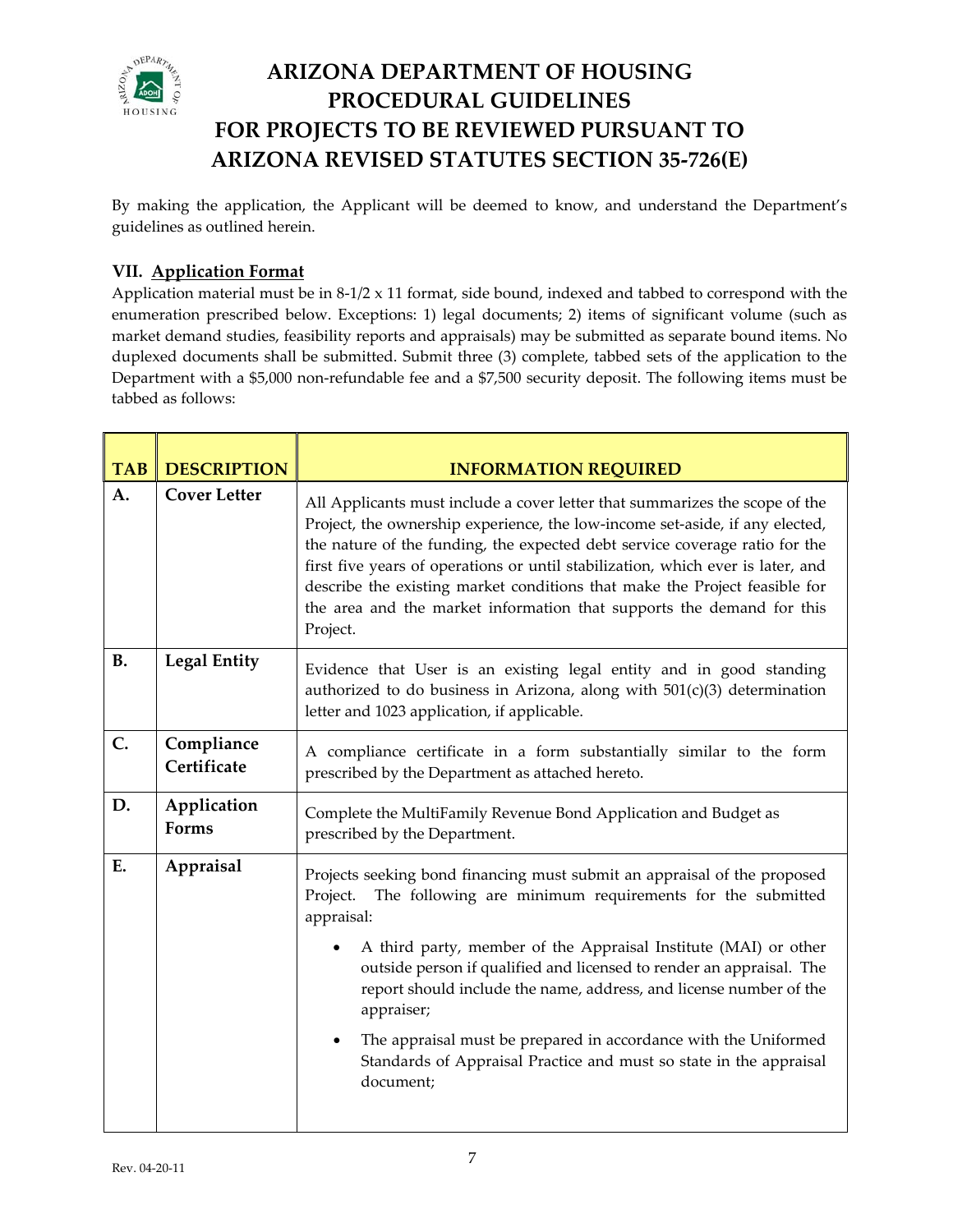

By making the application, the Applicant will be deemed to know, and understand the Department's guidelines as outlined herein.

#### **VII. Application Format**

Application material must be in 8-1/2 x 11 format, side bound, indexed and tabbed to correspond with the market demand studies, feasibility reports and appraisals) may be submitted as separate bound items. No duplexed documents shall be submitted. Submit three (3) complete, tabbed sets of the application to the Department with a \$5,000 non-refundable fee and a \$7,500 security deposit. The following items must be enumeration prescribed below. Exceptions: 1) legal documents; 2) items of significant volume (such as tabbed as follows:

| <b>TAB</b> | <b>DESCRIPTION</b>        | <b>INFORMATION REQUIRED</b>                                                                                                                                                                                                                                                                                                                                                                                                                                                                                                                                      |  |  |  |
|------------|---------------------------|------------------------------------------------------------------------------------------------------------------------------------------------------------------------------------------------------------------------------------------------------------------------------------------------------------------------------------------------------------------------------------------------------------------------------------------------------------------------------------------------------------------------------------------------------------------|--|--|--|
| A.         | <b>Cover Letter</b>       | All Applicants must include a cover letter that summarizes the scope of the<br>Project, the ownership experience, the low-income set-aside, if any elected,<br>the nature of the funding, the expected debt service coverage ratio for the<br>first five years of operations or until stabilization, which ever is later, and<br>describe the existing market conditions that make the Project feasible for<br>the area and the market information that supports the demand for this<br>Project.                                                                 |  |  |  |
| <b>B.</b>  | <b>Legal Entity</b>       | Evidence that User is an existing legal entity and in good standing<br>authorized to do business in Arizona, along with $501(c)(3)$ determination<br>letter and 1023 application, if applicable.                                                                                                                                                                                                                                                                                                                                                                 |  |  |  |
| C.         | Compliance<br>Certificate | A compliance certificate in a form substantially similar to the form<br>prescribed by the Department as attached hereto.                                                                                                                                                                                                                                                                                                                                                                                                                                         |  |  |  |
| D.         | Application<br>Forms      | Complete the MultiFamily Revenue Bond Application and Budget as<br>prescribed by the Department.                                                                                                                                                                                                                                                                                                                                                                                                                                                                 |  |  |  |
| E.         | Appraisal                 | Projects seeking bond financing must submit an appraisal of the proposed<br>The following are minimum requirements for the submitted<br>Project.<br>appraisal:<br>A third party, member of the Appraisal Institute (MAI) or other<br>outside person if qualified and licensed to render an appraisal. The<br>report should include the name, address, and license number of the<br>appraiser;<br>The appraisal must be prepared in accordance with the Uniformed<br>$\bullet$<br>Standards of Appraisal Practice and must so state in the appraisal<br>document; |  |  |  |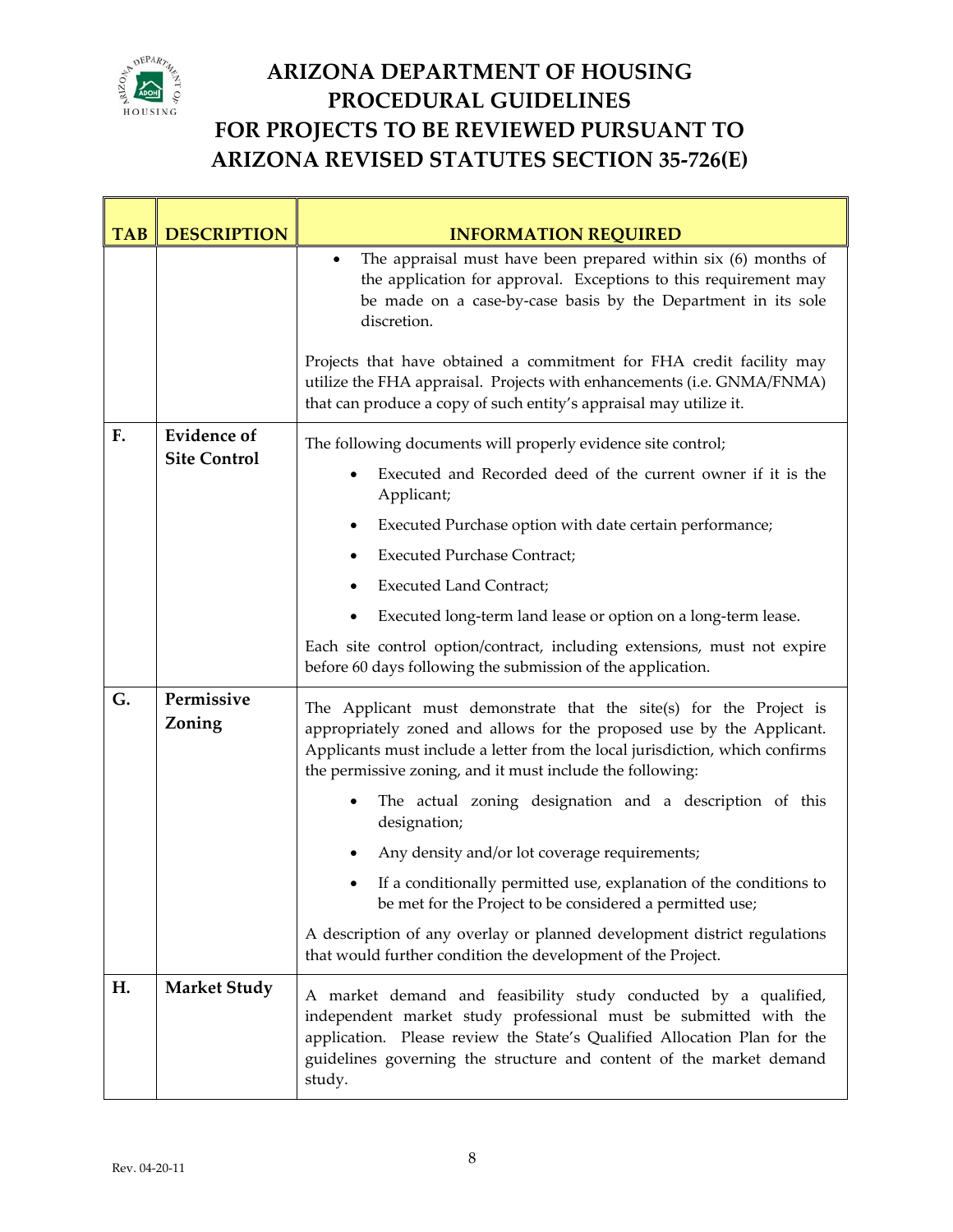

T

### **ARIZONA DEPARTMENT OF HOUSING PROCEDURAL GUIDELINES FOR PROJECTS TO BE REVIEWED PURSUANT TO ARIZONA REVISED STATUTES SECTION 35‐726(E)**

Ē,

| <b>TAB</b> | <b>DESCRIPTION</b>   | <b>INFORMATION REQUIRED</b>                                                                                                                                                                                                                                                                      |  |  |  |
|------------|----------------------|--------------------------------------------------------------------------------------------------------------------------------------------------------------------------------------------------------------------------------------------------------------------------------------------------|--|--|--|
|            |                      | The appraisal must have been prepared within $six$ (6) months of<br>$\bullet$<br>the application for approval. Exceptions to this requirement may<br>be made on a case-by-case basis by the Department in its sole<br>discretion.                                                                |  |  |  |
|            |                      | Projects that have obtained a commitment for FHA credit facility may<br>utilize the FHA appraisal. Projects with enhancements (i.e. GNMA/FNMA)<br>that can produce a copy of such entity's appraisal may utilize it.                                                                             |  |  |  |
| F.         | <b>Evidence of</b>   | The following documents will properly evidence site control;                                                                                                                                                                                                                                     |  |  |  |
|            | <b>Site Control</b>  | Executed and Recorded deed of the current owner if it is the<br>Applicant;                                                                                                                                                                                                                       |  |  |  |
|            |                      | Executed Purchase option with date certain performance;<br>٠                                                                                                                                                                                                                                     |  |  |  |
|            |                      | <b>Executed Purchase Contract;</b>                                                                                                                                                                                                                                                               |  |  |  |
|            |                      | <b>Executed Land Contract;</b>                                                                                                                                                                                                                                                                   |  |  |  |
|            |                      | Executed long-term land lease or option on a long-term lease.                                                                                                                                                                                                                                    |  |  |  |
|            |                      | Each site control option/contract, including extensions, must not expire<br>before 60 days following the submission of the application.                                                                                                                                                          |  |  |  |
| G.         | Permissive<br>Zoning | The Applicant must demonstrate that the site(s) for the Project is<br>appropriately zoned and allows for the proposed use by the Applicant.<br>Applicants must include a letter from the local jurisdiction, which confirms<br>the permissive zoning, and it must include the following:         |  |  |  |
|            |                      | The actual zoning designation and a description of this<br>designation;                                                                                                                                                                                                                          |  |  |  |
|            |                      | Any density and/or lot coverage requirements;                                                                                                                                                                                                                                                    |  |  |  |
|            |                      | If a conditionally permitted use, explanation of the conditions to<br>be met for the Project to be considered a permitted use;                                                                                                                                                                   |  |  |  |
|            |                      | A description of any overlay or planned development district regulations<br>that would further condition the development of the Project.                                                                                                                                                         |  |  |  |
| Н.         | <b>Market Study</b>  | A market demand and feasibility study conducted by a qualified,<br>independent market study professional must be submitted with the<br>application. Please review the State's Qualified Allocation Plan for the<br>guidelines governing the structure and content of the market demand<br>study. |  |  |  |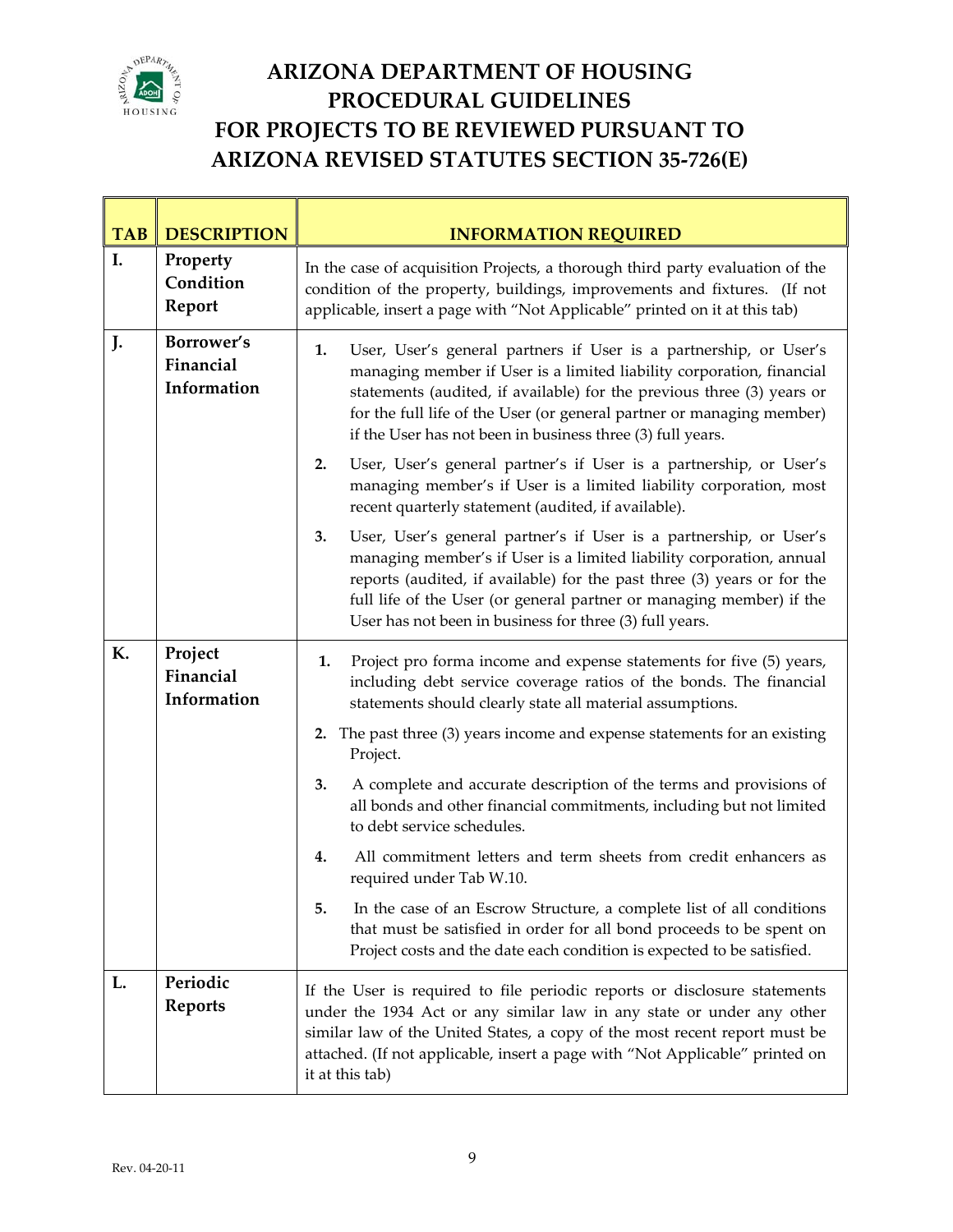

T

T

 $\overline{\phantom{a}}$ 

| <b>TAB</b> | <b>DESCRIPTION</b>                     | <b>INFORMATION REQUIRED</b>                                                                                                                                                                                                                                                                                                                                       |  |  |
|------------|----------------------------------------|-------------------------------------------------------------------------------------------------------------------------------------------------------------------------------------------------------------------------------------------------------------------------------------------------------------------------------------------------------------------|--|--|
| I.         | Property<br>Condition<br>Report        | In the case of acquisition Projects, a thorough third party evaluation of the<br>condition of the property, buildings, improvements and fixtures. (If not<br>applicable, insert a page with "Not Applicable" printed on it at this tab)                                                                                                                           |  |  |
| J.         | Borrower's<br>Financial<br>Information | User, User's general partners if User is a partnership, or User's<br>1.<br>managing member if User is a limited liability corporation, financial<br>statements (audited, if available) for the previous three (3) years or<br>for the full life of the User (or general partner or managing member)<br>if the User has not been in business three (3) full years. |  |  |
|            |                                        | User, User's general partner's if User is a partnership, or User's<br>2.<br>managing member's if User is a limited liability corporation, most<br>recent quarterly statement (audited, if available).                                                                                                                                                             |  |  |
|            |                                        | 3.<br>User, User's general partner's if User is a partnership, or User's<br>managing member's if User is a limited liability corporation, annual<br>reports (audited, if available) for the past three (3) years or for the<br>full life of the User (or general partner or managing member) if the<br>User has not been in business for three (3) full years.    |  |  |
| К.         | Project<br>Financial<br>Information    | Project pro forma income and expense statements for five (5) years,<br>1.<br>including debt service coverage ratios of the bonds. The financial<br>statements should clearly state all material assumptions.                                                                                                                                                      |  |  |
|            |                                        | 2. The past three (3) years income and expense statements for an existing<br>Project.                                                                                                                                                                                                                                                                             |  |  |
|            |                                        | A complete and accurate description of the terms and provisions of<br>3.<br>all bonds and other financial commitments, including but not limited<br>to debt service schedules.                                                                                                                                                                                    |  |  |
|            |                                        | All commitment letters and term sheets from credit enhancers as<br>4.<br>required under Tab W.10.                                                                                                                                                                                                                                                                 |  |  |
|            |                                        | In the case of an Escrow Structure, a complete list of all conditions<br>that must be satisfied in order for all bond proceeds to be spent on<br>Project costs and the date each condition is expected to be satisfied.                                                                                                                                           |  |  |
| L.         | Periodic<br><b>Reports</b>             | If the User is required to file periodic reports or disclosure statements<br>under the 1934 Act or any similar law in any state or under any other<br>similar law of the United States, a copy of the most recent report must be<br>attached. (If not applicable, insert a page with "Not Applicable" printed on<br>it at this tab)                               |  |  |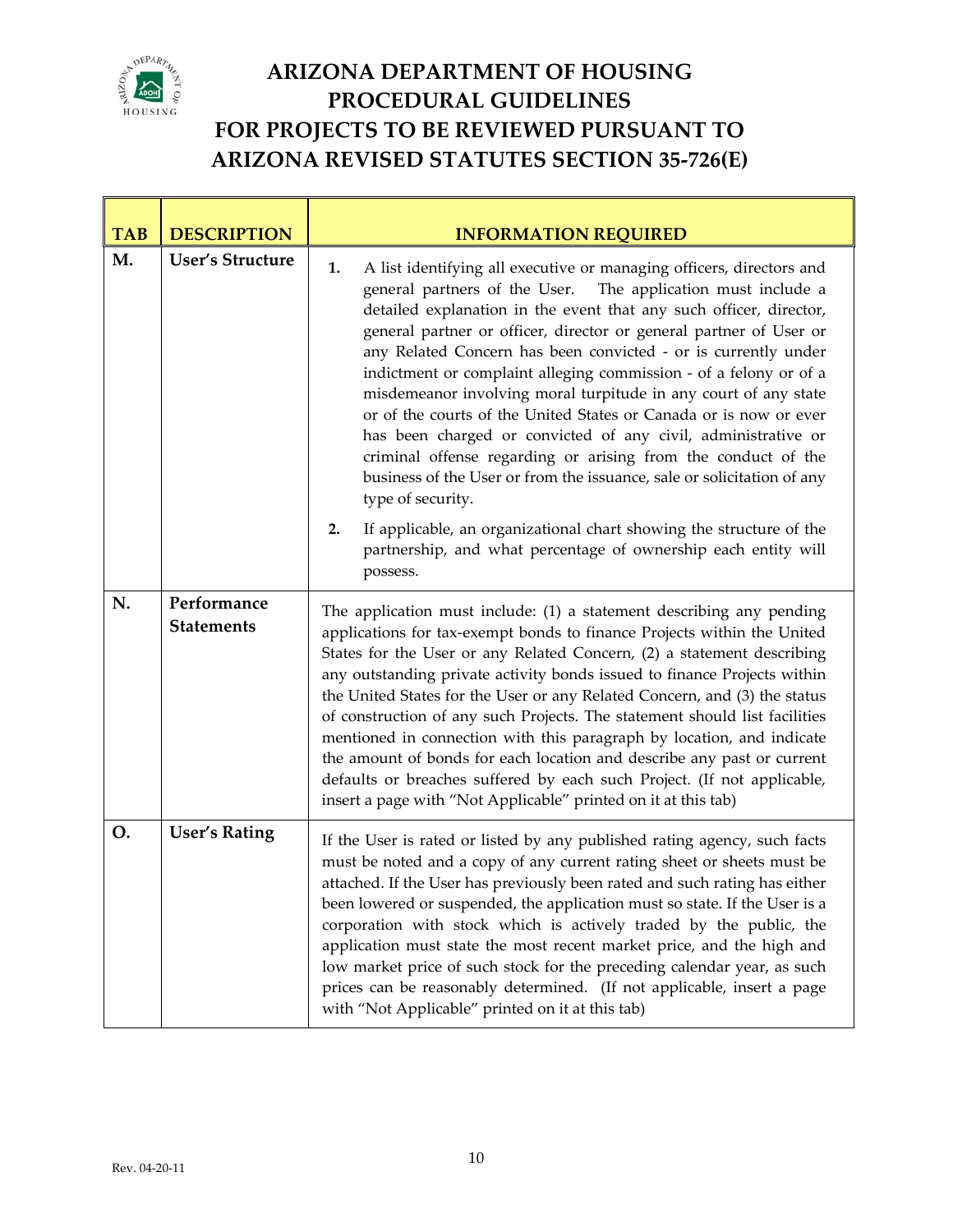

T

### **ARIZONA DEPARTMENT OF HOUSING PROCEDURAL GUIDELINES FOR PROJECTS TO BE REVIEWED PURSUANT TO ARIZONA REVISED STATUTES SECTION 35‐726(E)**

٦

| <b>TAB</b> | <b>DESCRIPTION</b>               | <b>INFORMATION REQUIRED</b>                                                                                                                                                                                                                                                                                                                                                                                                                                                                                                                                                                                                                                                                                                                                                                               |  |  |  |
|------------|----------------------------------|-----------------------------------------------------------------------------------------------------------------------------------------------------------------------------------------------------------------------------------------------------------------------------------------------------------------------------------------------------------------------------------------------------------------------------------------------------------------------------------------------------------------------------------------------------------------------------------------------------------------------------------------------------------------------------------------------------------------------------------------------------------------------------------------------------------|--|--|--|
| M.         | <b>User's Structure</b>          | A list identifying all executive or managing officers, directors and<br>1.<br>general partners of the User.<br>The application must include a<br>detailed explanation in the event that any such officer, director,<br>general partner or officer, director or general partner of User or<br>any Related Concern has been convicted - or is currently under<br>indictment or complaint alleging commission - of a felony or of a<br>misdemeanor involving moral turpitude in any court of any state<br>or of the courts of the United States or Canada or is now or ever<br>has been charged or convicted of any civil, administrative or<br>criminal offense regarding or arising from the conduct of the<br>business of the User or from the issuance, sale or solicitation of any<br>type of security. |  |  |  |
|            |                                  | If applicable, an organizational chart showing the structure of the<br>2.<br>partnership, and what percentage of ownership each entity will<br>possess.                                                                                                                                                                                                                                                                                                                                                                                                                                                                                                                                                                                                                                                   |  |  |  |
| N.         | Performance<br><b>Statements</b> | The application must include: (1) a statement describing any pending<br>applications for tax-exempt bonds to finance Projects within the United<br>States for the User or any Related Concern, (2) a statement describing<br>any outstanding private activity bonds issued to finance Projects within<br>the United States for the User or any Related Concern, and (3) the status<br>of construction of any such Projects. The statement should list facilities<br>mentioned in connection with this paragraph by location, and indicate<br>the amount of bonds for each location and describe any past or current<br>defaults or breaches suffered by each such Project. (If not applicable,<br>insert a page with "Not Applicable" printed on it at this tab)                                          |  |  |  |
| O.         | <b>User's Rating</b>             | If the User is rated or listed by any published rating agency, such facts<br>must be noted and a copy of any current rating sheet or sheets must be<br>attached. If the User has previously been rated and such rating has either<br>been lowered or suspended, the application must so state. If the User is a<br>corporation with stock which is actively traded by the public, the<br>application must state the most recent market price, and the high and<br>low market price of such stock for the preceding calendar year, as such<br>prices can be reasonably determined. (If not applicable, insert a page<br>with "Not Applicable" printed on it at this tab)                                                                                                                                   |  |  |  |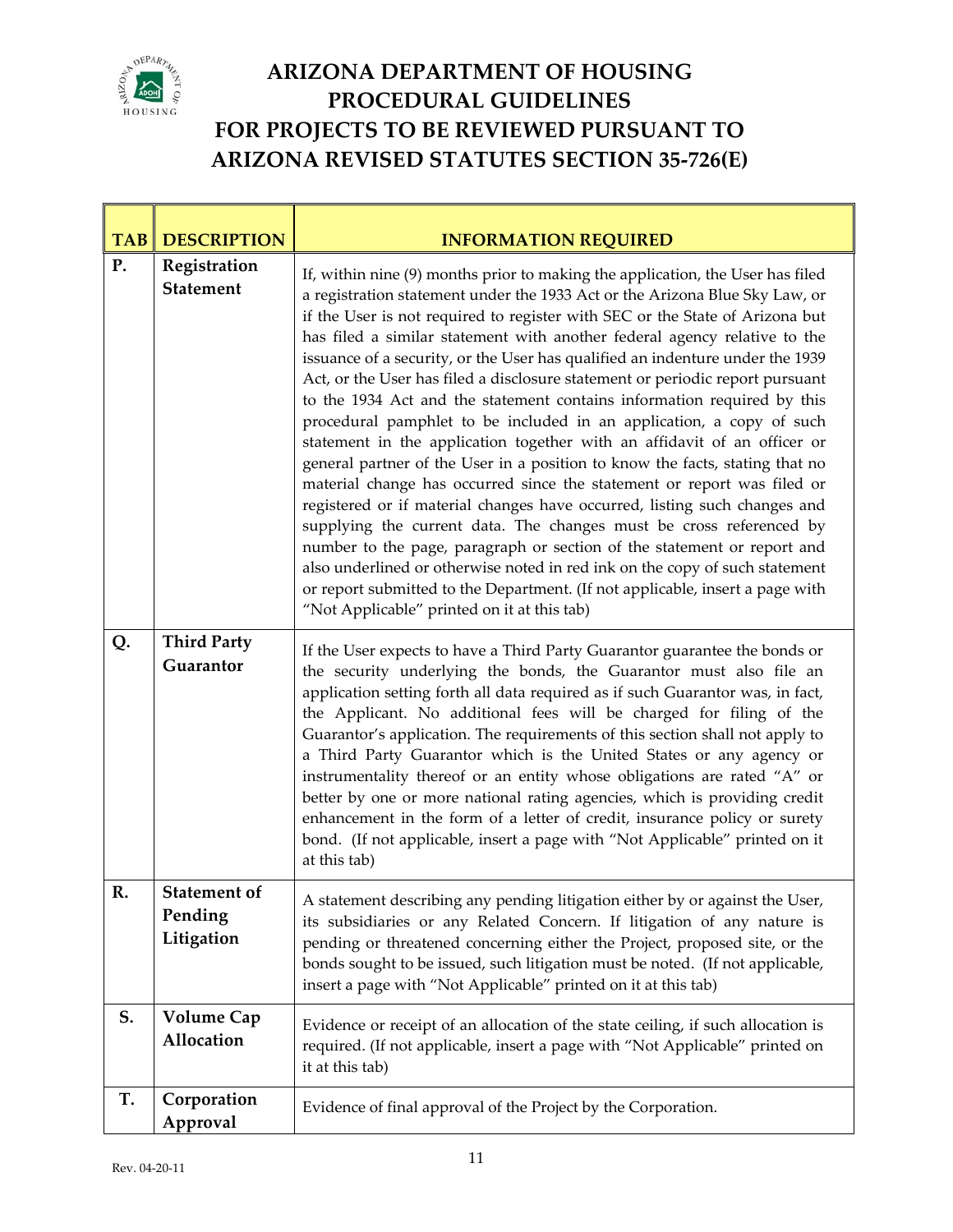

| <b>TAB</b> | <b>DESCRIPTION</b>                           | <b>INFORMATION REQUIRED</b>                                                                                                                                                                                                                                                                                                                                                                                                                                                                                                                                                                                                                                                                                                                                                                                                                                                                                                                                                                                                                                                                                                                                                                                                                                                                                                          |  |  |
|------------|----------------------------------------------|--------------------------------------------------------------------------------------------------------------------------------------------------------------------------------------------------------------------------------------------------------------------------------------------------------------------------------------------------------------------------------------------------------------------------------------------------------------------------------------------------------------------------------------------------------------------------------------------------------------------------------------------------------------------------------------------------------------------------------------------------------------------------------------------------------------------------------------------------------------------------------------------------------------------------------------------------------------------------------------------------------------------------------------------------------------------------------------------------------------------------------------------------------------------------------------------------------------------------------------------------------------------------------------------------------------------------------------|--|--|
| P.         | Registration<br><b>Statement</b>             | If, within nine (9) months prior to making the application, the User has filed<br>a registration statement under the 1933 Act or the Arizona Blue Sky Law, or<br>if the User is not required to register with SEC or the State of Arizona but<br>has filed a similar statement with another federal agency relative to the<br>issuance of a security, or the User has qualified an indenture under the 1939<br>Act, or the User has filed a disclosure statement or periodic report pursuant<br>to the 1934 Act and the statement contains information required by this<br>procedural pamphlet to be included in an application, a copy of such<br>statement in the application together with an affidavit of an officer or<br>general partner of the User in a position to know the facts, stating that no<br>material change has occurred since the statement or report was filed or<br>registered or if material changes have occurred, listing such changes and<br>supplying the current data. The changes must be cross referenced by<br>number to the page, paragraph or section of the statement or report and<br>also underlined or otherwise noted in red ink on the copy of such statement<br>or report submitted to the Department. (If not applicable, insert a page with<br>"Not Applicable" printed on it at this tab) |  |  |
| Q.         | <b>Third Party</b><br>Guarantor              | If the User expects to have a Third Party Guarantor guarantee the bonds or<br>the security underlying the bonds, the Guarantor must also file an<br>application setting forth all data required as if such Guarantor was, in fact,<br>the Applicant. No additional fees will be charged for filing of the<br>Guarantor's application. The requirements of this section shall not apply to<br>a Third Party Guarantor which is the United States or any agency or<br>instrumentality thereof or an entity whose obligations are rated "A" or<br>better by one or more national rating agencies, which is providing credit<br>enhancement in the form of a letter of credit, insurance policy or surety<br>bond. (If not applicable, insert a page with "Not Applicable" printed on it<br>at this tab)                                                                                                                                                                                                                                                                                                                                                                                                                                                                                                                                 |  |  |
| R.         | <b>Statement of</b><br>Pending<br>Litigation | A statement describing any pending litigation either by or against the User,<br>its subsidiaries or any Related Concern. If litigation of any nature is<br>pending or threatened concerning either the Project, proposed site, or the<br>bonds sought to be issued, such litigation must be noted. (If not applicable,<br>insert a page with "Not Applicable" printed on it at this tab)                                                                                                                                                                                                                                                                                                                                                                                                                                                                                                                                                                                                                                                                                                                                                                                                                                                                                                                                             |  |  |
| S.         | <b>Volume Cap</b><br>Allocation              | Evidence or receipt of an allocation of the state ceiling, if such allocation is<br>required. (If not applicable, insert a page with "Not Applicable" printed on<br>it at this tab)                                                                                                                                                                                                                                                                                                                                                                                                                                                                                                                                                                                                                                                                                                                                                                                                                                                                                                                                                                                                                                                                                                                                                  |  |  |
| T.         | Corporation<br>Approval                      | Evidence of final approval of the Project by the Corporation.                                                                                                                                                                                                                                                                                                                                                                                                                                                                                                                                                                                                                                                                                                                                                                                                                                                                                                                                                                                                                                                                                                                                                                                                                                                                        |  |  |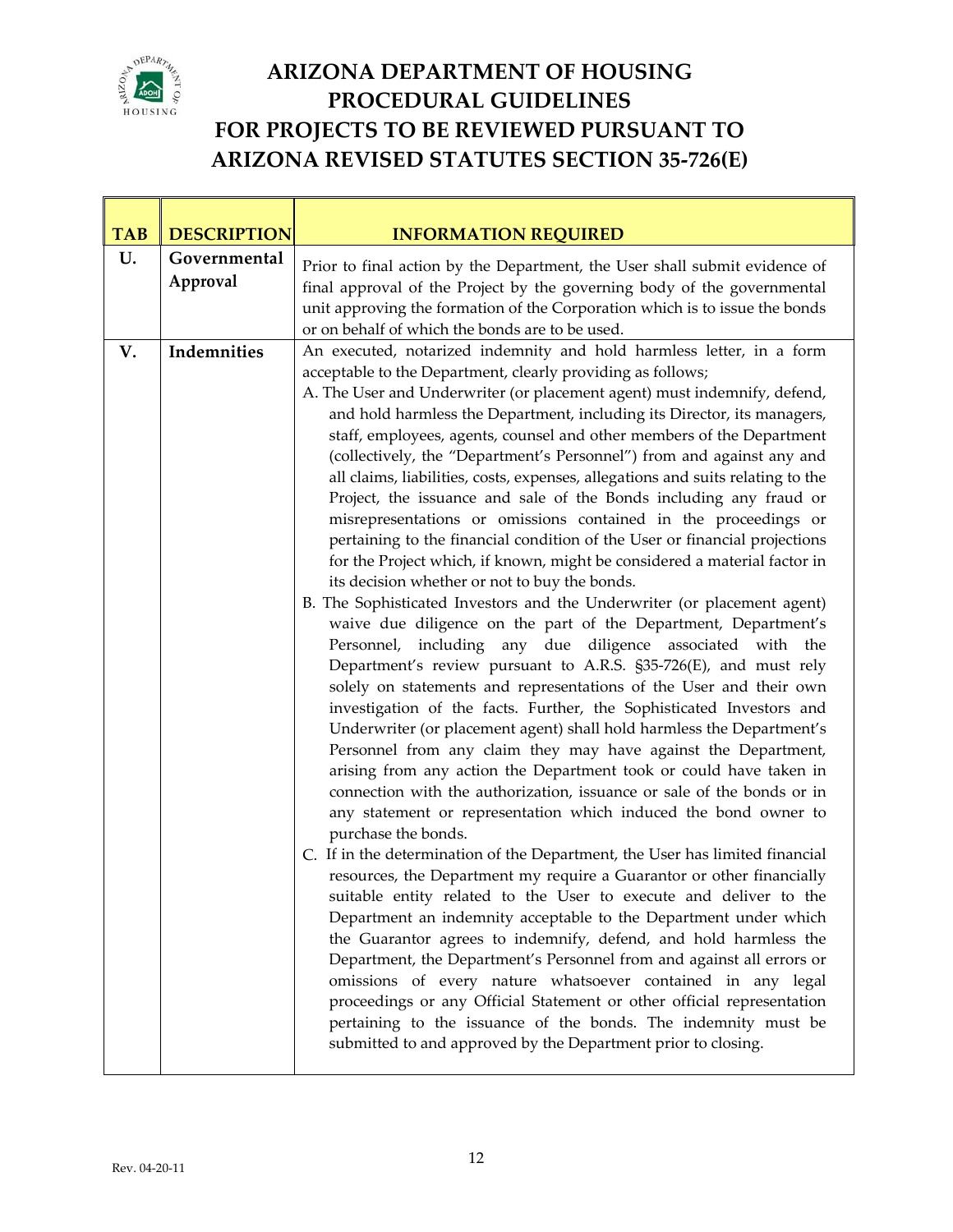

Τ

T

 $\overline{\phantom{0}}$ 

| <b>TAB</b> | <b>DESCRIPTION</b>       | <b>INFORMATION REQUIRED</b>                                                                                                                                                                                                                                                                                                                                                                                                                                                                                                                                                                                                                                                                                                                                                                                                                                                                                                                                                                                                                                                                                                                                                                                                                                                                                                                                                                                                                                                                                                                                                                                                                                                                                                                                                                                                                                                                                                                                                                                                                                                                                                                                                                                                                                                                                                                                                                                                        |  |  |  |
|------------|--------------------------|------------------------------------------------------------------------------------------------------------------------------------------------------------------------------------------------------------------------------------------------------------------------------------------------------------------------------------------------------------------------------------------------------------------------------------------------------------------------------------------------------------------------------------------------------------------------------------------------------------------------------------------------------------------------------------------------------------------------------------------------------------------------------------------------------------------------------------------------------------------------------------------------------------------------------------------------------------------------------------------------------------------------------------------------------------------------------------------------------------------------------------------------------------------------------------------------------------------------------------------------------------------------------------------------------------------------------------------------------------------------------------------------------------------------------------------------------------------------------------------------------------------------------------------------------------------------------------------------------------------------------------------------------------------------------------------------------------------------------------------------------------------------------------------------------------------------------------------------------------------------------------------------------------------------------------------------------------------------------------------------------------------------------------------------------------------------------------------------------------------------------------------------------------------------------------------------------------------------------------------------------------------------------------------------------------------------------------------------------------------------------------------------------------------------------------|--|--|--|
| U.         | Governmental<br>Approval | Prior to final action by the Department, the User shall submit evidence of<br>final approval of the Project by the governing body of the governmental<br>unit approving the formation of the Corporation which is to issue the bonds<br>or on behalf of which the bonds are to be used.                                                                                                                                                                                                                                                                                                                                                                                                                                                                                                                                                                                                                                                                                                                                                                                                                                                                                                                                                                                                                                                                                                                                                                                                                                                                                                                                                                                                                                                                                                                                                                                                                                                                                                                                                                                                                                                                                                                                                                                                                                                                                                                                            |  |  |  |
| V.         | Indemnities              | An executed, notarized indemnity and hold harmless letter, in a form<br>acceptable to the Department, clearly providing as follows;<br>A. The User and Underwriter (or placement agent) must indemnify, defend,<br>and hold harmless the Department, including its Director, its managers,<br>staff, employees, agents, counsel and other members of the Department<br>(collectively, the "Department's Personnel") from and against any and<br>all claims, liabilities, costs, expenses, allegations and suits relating to the<br>Project, the issuance and sale of the Bonds including any fraud or<br>misrepresentations or omissions contained in the proceedings or<br>pertaining to the financial condition of the User or financial projections<br>for the Project which, if known, might be considered a material factor in<br>its decision whether or not to buy the bonds.<br>B. The Sophisticated Investors and the Underwriter (or placement agent)<br>waive due diligence on the part of the Department, Department's<br>Personnel, including any due diligence associated with the<br>Department's review pursuant to A.R.S. §35-726(E), and must rely<br>solely on statements and representations of the User and their own<br>investigation of the facts. Further, the Sophisticated Investors and<br>Underwriter (or placement agent) shall hold harmless the Department's<br>Personnel from any claim they may have against the Department,<br>arising from any action the Department took or could have taken in<br>connection with the authorization, issuance or sale of the bonds or in<br>any statement or representation which induced the bond owner to<br>purchase the bonds.<br>C. If in the determination of the Department, the User has limited financial<br>resources, the Department my require a Guarantor or other financially<br>suitable entity related to the User to execute and deliver to the<br>Department an indemnity acceptable to the Department under which<br>the Guarantor agrees to indemnify, defend, and hold harmless the<br>Department, the Department's Personnel from and against all errors or<br>omissions of every nature whatsoever contained in any legal<br>proceedings or any Official Statement or other official representation<br>pertaining to the issuance of the bonds. The indemnity must be<br>submitted to and approved by the Department prior to closing. |  |  |  |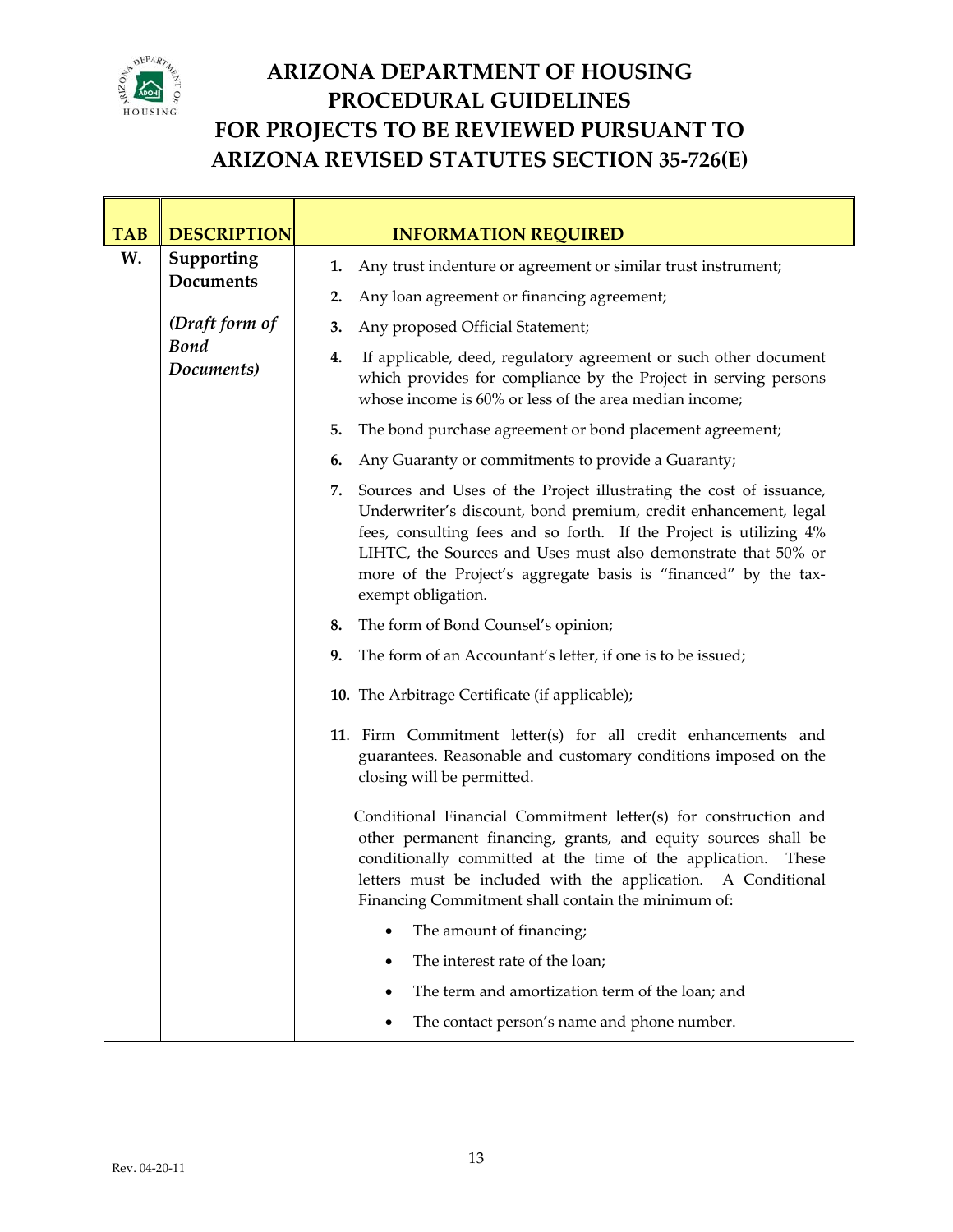

T

T

 $\mathbb{R}^n$ 

### **ARIZONA DEPARTMENT OF HOUSING PROCEDURAL GUIDELINES FOR PROJECTS TO BE REVIEWED PURSUANT TO ARIZONA REVISED STATUTES SECTION 35‐726(E)**

٦

| <b>TAB</b>                             | <b>DESCRIPTION</b>                                         | <b>INFORMATION REQUIRED</b>                                                                                                                                                                                                                                                                                                                                                 |  |  |  |  |
|----------------------------------------|------------------------------------------------------------|-----------------------------------------------------------------------------------------------------------------------------------------------------------------------------------------------------------------------------------------------------------------------------------------------------------------------------------------------------------------------------|--|--|--|--|
| W.                                     | Supporting<br><b>Documents</b>                             | Any trust indenture or agreement or similar trust instrument;<br>1.                                                                                                                                                                                                                                                                                                         |  |  |  |  |
|                                        |                                                            | Any loan agreement or financing agreement;<br>2.                                                                                                                                                                                                                                                                                                                            |  |  |  |  |
|                                        | (Draft form of<br><b>Bond</b><br>Documents)                | Any proposed Official Statement;<br>3.                                                                                                                                                                                                                                                                                                                                      |  |  |  |  |
|                                        |                                                            | If applicable, deed, regulatory agreement or such other document<br>4.<br>which provides for compliance by the Project in serving persons<br>whose income is 60% or less of the area median income;                                                                                                                                                                         |  |  |  |  |
|                                        |                                                            | The bond purchase agreement or bond placement agreement;<br>5.                                                                                                                                                                                                                                                                                                              |  |  |  |  |
|                                        |                                                            | Any Guaranty or commitments to provide a Guaranty;<br>6.                                                                                                                                                                                                                                                                                                                    |  |  |  |  |
|                                        |                                                            | Sources and Uses of the Project illustrating the cost of issuance,<br>7.<br>Underwriter's discount, bond premium, credit enhancement, legal<br>fees, consulting fees and so forth. If the Project is utilizing 4%<br>LIHTC, the Sources and Uses must also demonstrate that 50% or<br>more of the Project's aggregate basis is "financed" by the tax-<br>exempt obligation. |  |  |  |  |
| 8. The form of Bond Counsel's opinion; |                                                            |                                                                                                                                                                                                                                                                                                                                                                             |  |  |  |  |
|                                        |                                                            | The form of an Accountant's letter, if one is to be issued;<br>9.                                                                                                                                                                                                                                                                                                           |  |  |  |  |
|                                        |                                                            | 10. The Arbitrage Certificate (if applicable);                                                                                                                                                                                                                                                                                                                              |  |  |  |  |
|                                        |                                                            | 11. Firm Commitment letter(s) for all credit enhancements and<br>guarantees. Reasonable and customary conditions imposed on the<br>closing will be permitted.                                                                                                                                                                                                               |  |  |  |  |
|                                        |                                                            | Conditional Financial Commitment letter(s) for construction and<br>other permanent financing, grants, and equity sources shall be<br>conditionally committed at the time of the application. These<br>letters must be included with the application. A Conditional<br>Financing Commitment shall contain the minimum of:                                                    |  |  |  |  |
|                                        | The amount of financing;<br>The interest rate of the loan; |                                                                                                                                                                                                                                                                                                                                                                             |  |  |  |  |
|                                        |                                                            |                                                                                                                                                                                                                                                                                                                                                                             |  |  |  |  |
|                                        |                                                            | The term and amortization term of the loan; and                                                                                                                                                                                                                                                                                                                             |  |  |  |  |
|                                        |                                                            | The contact person's name and phone number.<br>٠                                                                                                                                                                                                                                                                                                                            |  |  |  |  |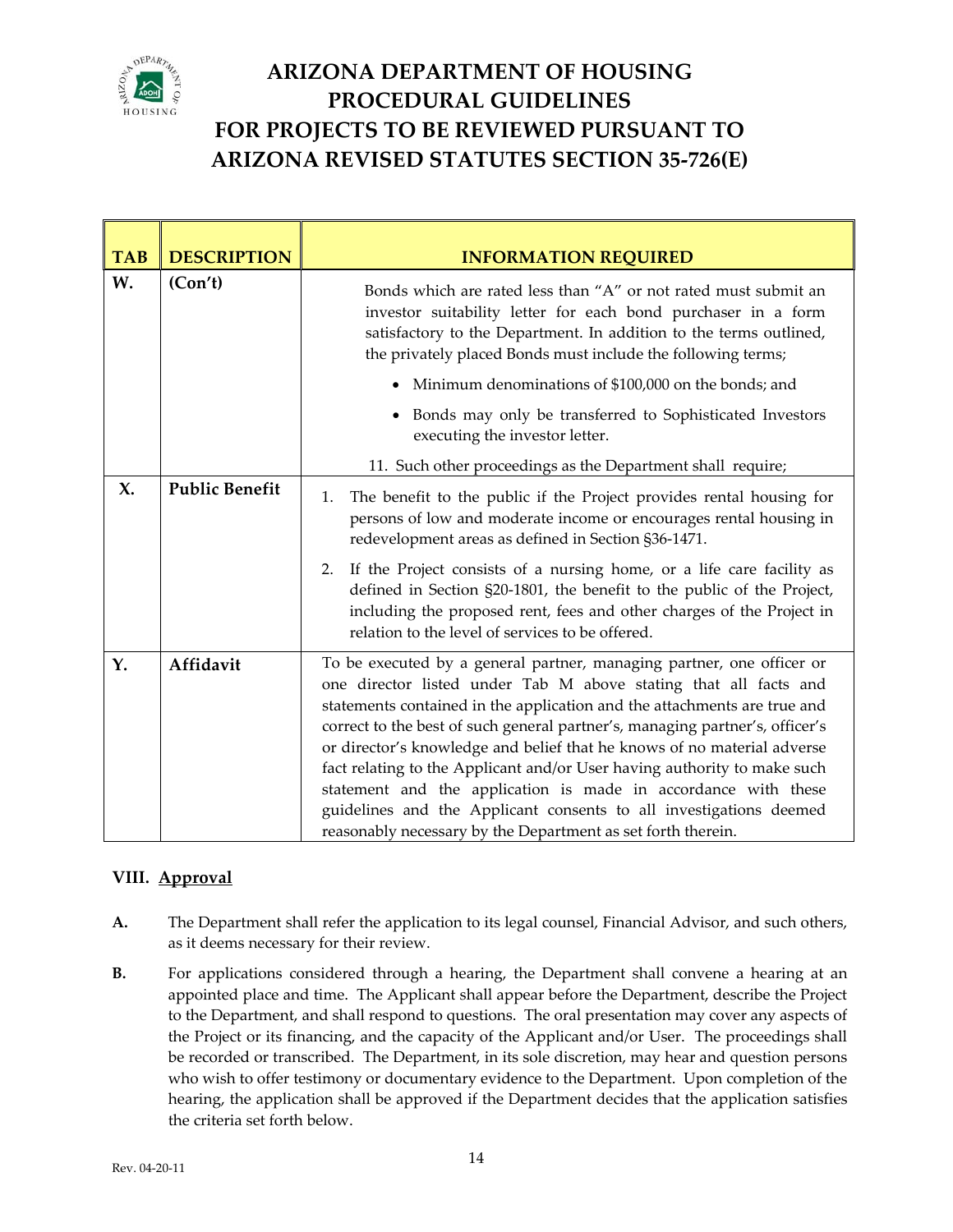

| <b>TAB</b> | <b>DESCRIPTION</b>    | <b>INFORMATION REQUIRED</b>                                                                                                                                                                                                                                                                                                                                                                                                                                                                                                                                                                                                                                          |  |  |  |
|------------|-----------------------|----------------------------------------------------------------------------------------------------------------------------------------------------------------------------------------------------------------------------------------------------------------------------------------------------------------------------------------------------------------------------------------------------------------------------------------------------------------------------------------------------------------------------------------------------------------------------------------------------------------------------------------------------------------------|--|--|--|
| W.         | (Con't)               | Bonds which are rated less than "A" or not rated must submit an<br>investor suitability letter for each bond purchaser in a form<br>satisfactory to the Department. In addition to the terms outlined,<br>the privately placed Bonds must include the following terms;                                                                                                                                                                                                                                                                                                                                                                                               |  |  |  |
|            |                       | Minimum denominations of \$100,000 on the bonds; and                                                                                                                                                                                                                                                                                                                                                                                                                                                                                                                                                                                                                 |  |  |  |
|            |                       | • Bonds may only be transferred to Sophisticated Investors<br>executing the investor letter.                                                                                                                                                                                                                                                                                                                                                                                                                                                                                                                                                                         |  |  |  |
|            |                       | 11. Such other proceedings as the Department shall require;                                                                                                                                                                                                                                                                                                                                                                                                                                                                                                                                                                                                          |  |  |  |
| X.         | <b>Public Benefit</b> | The benefit to the public if the Project provides rental housing for<br>1.<br>persons of low and moderate income or encourages rental housing in<br>redevelopment areas as defined in Section §36-1471.                                                                                                                                                                                                                                                                                                                                                                                                                                                              |  |  |  |
|            |                       | If the Project consists of a nursing home, or a life care facility as<br>2.<br>defined in Section §20-1801, the benefit to the public of the Project,<br>including the proposed rent, fees and other charges of the Project in<br>relation to the level of services to be offered.                                                                                                                                                                                                                                                                                                                                                                                   |  |  |  |
| Y.         | Affidavit             | To be executed by a general partner, managing partner, one officer or<br>one director listed under Tab M above stating that all facts and<br>statements contained in the application and the attachments are true and<br>correct to the best of such general partner's, managing partner's, officer's<br>or director's knowledge and belief that he knows of no material adverse<br>fact relating to the Applicant and/or User having authority to make such<br>statement and the application is made in accordance with these<br>guidelines and the Applicant consents to all investigations deemed<br>reasonably necessary by the Department as set forth therein. |  |  |  |

#### **VIII. Approval**

- **A.** The Department shall refer the application to its legal counsel, Financial Advisor, and such others, as it deems necessary for their review.
- **B.** For applications considered through a hearing, the Department shall convene a hearing at an appointed place and time. The Applicant shall appear before the Department, describe the Project to the Department, and shall respond to questions. The oral presentation may cover any aspects of the Project or its financing, and the capacity of the Applicant and/or User. The proceedings shall be recorded or transcribed. The Department, in its sole discretion, may hear and question persons who wish to offer testimony or documentary evidence to the Department. Upon completion of the hearing, the application shall be approved if the Department decides that the application satisfies the criteria set forth below.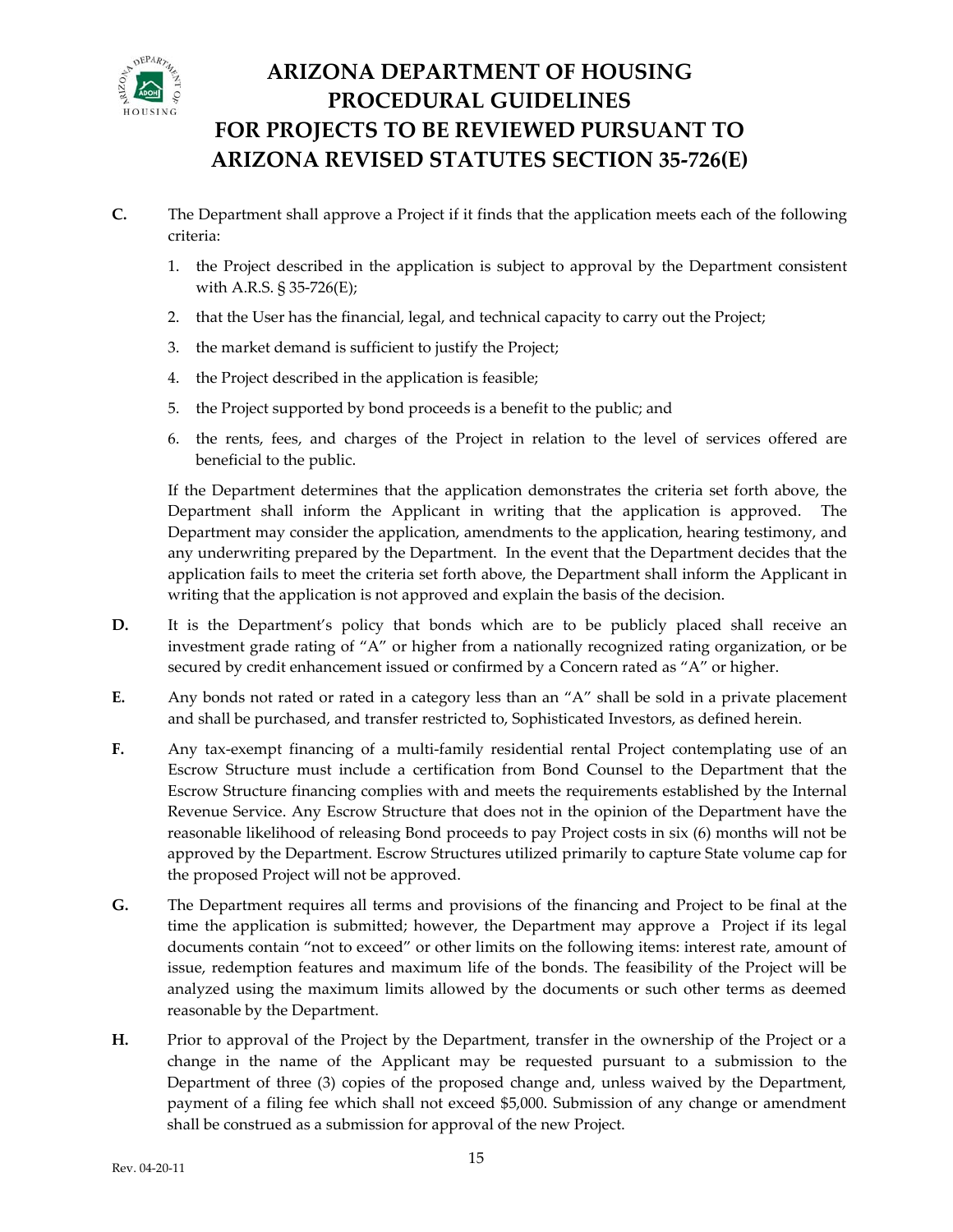

- The Department shall approve a Project if it finds that the application meets each of the following criteria: **C.**
	- 1. the Project described in the application is subject to approval by the Department consistent with A.R.S. § 35‐726(E);
	- 2. that the User has the financial, legal, and technical capacity to carry out the Project;
	- 3. the market demand is sufficient to justify the Project;
	- 4. the Project described in the application is feasible;
	- 5. the Project supported by bond proceeds is a benefit to the public; and
	- 6. the rents, fees, and charges of the Project in relation to the level of services offered are beneficial to the public.

If the Department determines that the application demonstrates the criteria set forth above, the Department shall inform the Applicant in writing that the application is approved. The Department may consider the application, amendments to the application, hearing testimony, and any underwriting prepared by the Department. In the event that the Department decides that the application fails to meet the criteria set forth above, the Department shall inform the Applicant in writing that the application is not approved and explain the basis of the decision.

- **D.** It is the Department's policy that bonds which are to be publicly placed shall receive an investment grade rating of "A" or higher from a nationally recognized rating organization, or be secured by credit enhancement issued or confirmed by a Concern rated as "A" or higher.
- **E.** Any bonds not rated or rated in a category less than an "A" shall be sold in a private placement and shall be purchased, and transfer restricted to, Sophisticated Investors, as defined herein.
- **F.** Escrow Structure must include a certification from Bond Counsel to the Department that the approved by the Department. Escrow Structures utilized primarily to capture State volume cap for Any tax‐exempt financing of a multi‐family residential rental Project contemplating use of an Escrow Structure financing complies with and meets the requirements established by the Internal Revenue Service. Any Escrow Structure that does not in the opinion of the Department have the reasonable likelihood of releasing Bond proceeds to pay Project costs in six (6) months will not be the proposed Project will not be approved.
- **G.** The Department requires all terms and provisions of the financing and Project to be final at the time the application is submitted; however, the Department may approve a Project if its legal documents contain "not to exceed" or other limits on the following items: interest rate, amount of issue, redemption features and maximum life of the bonds. The feasibility of the Project will be analyzed using the maximum limits allowed by the documents or such other terms as deemed reasonable by the Department.
- **H.** change in the name of the Applicant may be requested pursuant to a submission to the Prior to approval of the Project by the Department, transfer in the ownership of the Project or a Department of three (3) copies of the proposed change and, unless waived by the Department, payment of a filing fee which shall not exceed \$5,000. Submission of any change or amendment shall be construed as a submission for approval of the new Project.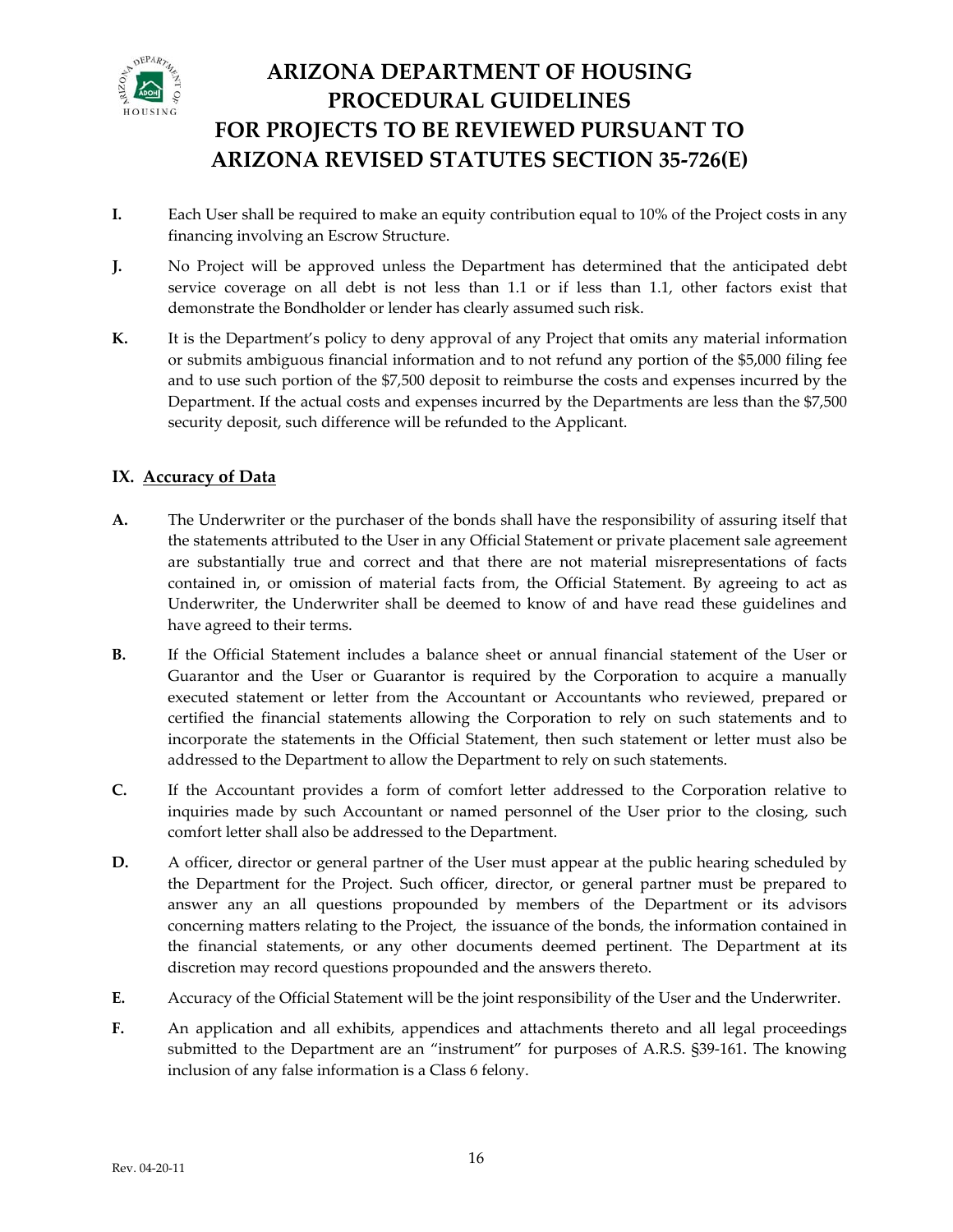

- **I.** financing involving an Escrow Structure. Each User shall be required to make an equity contribution equal to 10% of the Project costs in any
- **J.** No Project will be approved unless the Department has determined that the anticipated debt service coverage on all debt is not less than 1.1 or if less than 1.1, other factors exist that demonstrate the Bondholder or lender has clearly assumed such risk.
- **K.** It is the Department's policy to deny approval of any Project that omits any material information or submits ambiguous financial information and to not refund any portion of the \$5,000 filing fee and to use such portion of the \$7,500 deposit to reimburse the costs and expenses incurred by the security deposit, such difference will be refunded to the Applicant. Department. If the actual costs and expenses incurred by the Departments are less than the \$7,500

#### **IX. Ac curacy of Data**

- **A.** The Underwriter or the purchaser of the bonds shall have the responsibility of assuring itself that the statements attributed to the User in any Official Statement or private placement sale agreement are substantially true and correct and that there are not material misrepresentations of facts contained in, or omission of material facts from, the Official Statement. By agreeing to act as Underwriter, the Underwriter shall be deemed to know of and have read these guidelines and have agreed to their terms.
- **B.** If the Official Statement includes a balance sheet or annual financial statement of the User or Guarantor and the User or Guarantor is required by the Corporation to acquire a manually executed statement or letter from the Accountant or Accountants who reviewed, prepared or certified the financial statements allowing the Corporation to rely on such statements and to incorporate the statements in the Official Statement, then such statement or letter must also be addressed to the Department to allow the Department to rely on such statements.
- **C.** inquiries made by such Accountant or named personnel of the User prior to the closing, such If the Accountant provides a form of comfort letter addressed to the Corporation relative to comfort letter shall also be addressed to the Department.
- **D.** the financial statements, or any other documents deemed pertinent. The Department at its A officer, director or general partner of the User must appear at the public hearing scheduled by the Department for the Project. Such officer, director, or general partner must be prepared to answer any an all questions propounded by members of the Department or its advisors concerning matters relating to the Project, the issuance of the bonds, the information contained in discretion may record questions propounded and the answers thereto.
- **E.** Accuracy of the Official Statement will be the joint responsibility of the User and the Underwriter.
- **F.** An application and all exhibits, appendices and attachments thereto and all legal proceedings submitted to the Department are an "instrument" for purposes of A.R.S. §39-161. The knowing inclusion of any false information is a Class 6 felony.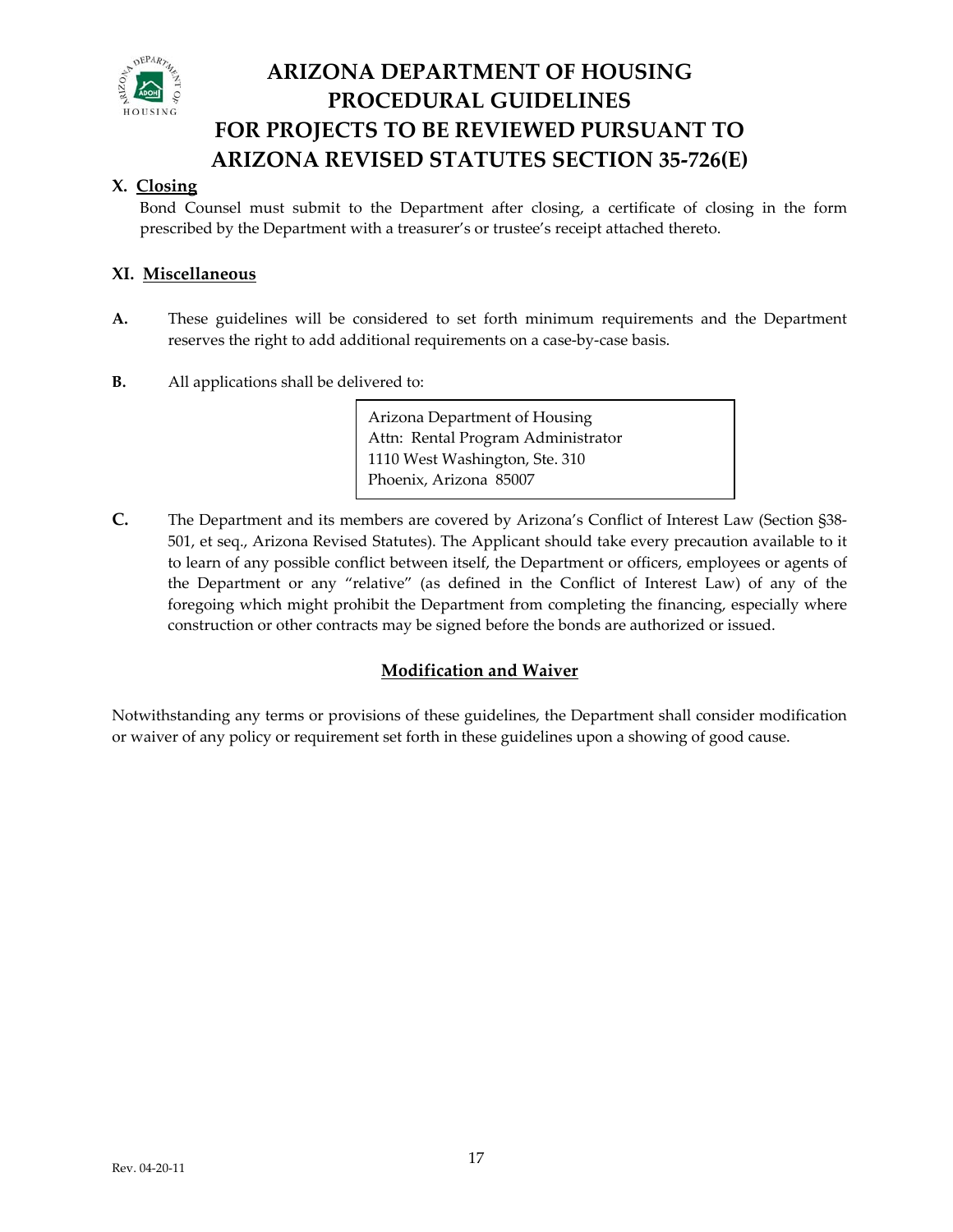

#### **X. Closing**

Bond Counsel must submit to the Department after closing, a certificate of closing in the form pres cribed by the Department with a treasurer's or trustee's receipt attached thereto.

#### **Mi XI. scellaneous**

- **A.**  These guidelines will be considered to set forth minimum requirements and the Department reserves the right to add additional requirements on a case‐by‐case basis.
- All applications shall be delivered to: **B.**

 Arizona Department of Housing Attn: Rental Program Administrator 1110 West Washington, Ste. 310 Phoenix, Arizona 85007

to learn of any possible conflict between itself, the Department or officers, employees or agents of the Department or any "relative" (as defined in the Conflict of Interest Law) of any of the foregoing which might prohibit the Department from completing the financing, especially where construction or other contracts may be signed before the bonds are authorized or issued. **C.** The Department and its members are covered by Arizona's Conflict of Interest Law (Section §38-501, et seq., Arizona Revised Statutes). The Applicant should take every precaution available to it

#### **Modification and Waiver**

Notwithstanding any terms or provisions of these guidelines, the Department shall consider modification or waiver of any policy or requirement set forth in these guidelines upon a showing of good cause.